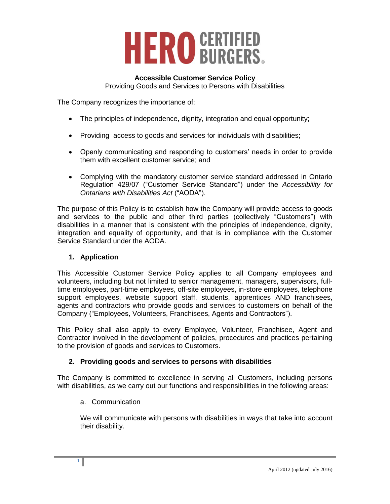

# **Accessible Customer Service Policy**

Providing Goods and Services to Persons with Disabilities

The Company recognizes the importance of:

- The principles of independence, dignity, integration and equal opportunity;
- Providing access to goods and services for individuals with disabilities;
- Openly communicating and responding to customers' needs in order to provide them with excellent customer service; and
- Complying with the mandatory customer service standard addressed in Ontario Regulation 429/07 ("Customer Service Standard") under the *Accessibility for Ontarians with Disabilities Act* ("AODA").

The purpose of this Policy is to establish how the Company will provide access to goods and services to the public and other third parties (collectively "Customers") with disabilities in a manner that is consistent with the principles of independence, dignity, integration and equality of opportunity, and that is in compliance with the Customer Service Standard under the AODA.

#### **1. Application**

This Accessible Customer Service Policy applies to all Company employees and volunteers, including but not limited to senior management, managers, supervisors, fulltime employees, part-time employees, off-site employees, in-store employees, telephone support employees, website support staff, students, apprentices AND franchisees, agents and contractors who provide goods and services to customers on behalf of the Company ("Employees, Volunteers, Franchisees, Agents and Contractors").

This Policy shall also apply to every Employee, Volunteer, Franchisee, Agent and Contractor involved in the development of policies, procedures and practices pertaining to the provision of goods and services to Customers.

#### **2. Providing goods and services to persons with disabilities**

The Company is committed to excellence in serving all Customers, including persons with disabilities, as we carry out our functions and responsibilities in the following areas:

a. Communication

We will communicate with persons with disabilities in ways that take into account their disability.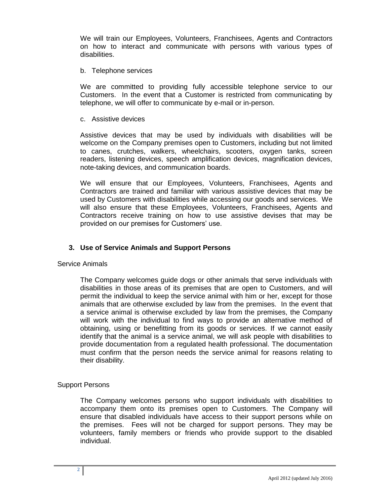We will train our Employees, Volunteers, Franchisees, Agents and Contractors on how to interact and communicate with persons with various types of disabilities.

#### b. Telephone services

We are committed to providing fully accessible telephone service to our Customers. In the event that a Customer is restricted from communicating by telephone, we will offer to communicate by e-mail or in-person.

c. Assistive devices

Assistive devices that may be used by individuals with disabilities will be welcome on the Company premises open to Customers, including but not limited to canes, crutches, walkers, wheelchairs, scooters, oxygen tanks, screen readers, listening devices, speech amplification devices, magnification devices, note-taking devices, and communication boards.

We will ensure that our Employees, Volunteers, Franchisees, Agents and Contractors are trained and familiar with various assistive devices that may be used by Customers with disabilities while accessing our goods and services. We will also ensure that these Employees, Volunteers, Franchisees, Agents and Contractors receive training on how to use assistive devises that may be provided on our premises for Customers' use.

#### **3. Use of Service Animals and Support Persons**

Service Animals

The Company welcomes guide dogs or other animals that serve individuals with disabilities in those areas of its premises that are open to Customers, and will permit the individual to keep the service animal with him or her, except for those animals that are otherwise excluded by law from the premises. In the event that a service animal is otherwise excluded by law from the premises, the Company will work with the individual to find ways to provide an alternative method of obtaining, using or benefitting from its goods or services. If we cannot easily identify that the animal is a service animal, we will ask people with disabilities to provide documentation from a regulated health professional. The documentation must confirm that the person needs the service animal for reasons relating to their disability.

#### Support Persons

The Company welcomes persons who support individuals with disabilities to accompany them onto its premises open to Customers. The Company will ensure that disabled individuals have access to their support persons while on the premises. Fees will not be charged for support persons. They may be volunteers, family members or friends who provide support to the disabled individual.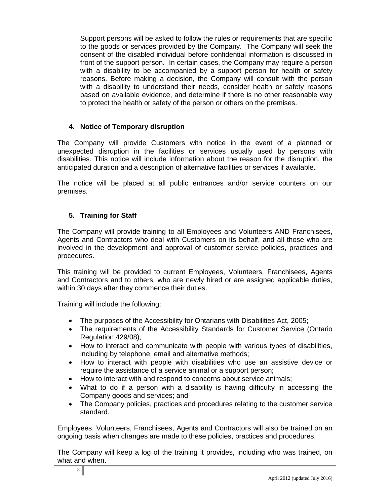Support persons will be asked to follow the rules or requirements that are specific to the goods or services provided by the Company. The Company will seek the consent of the disabled individual before confidential information is discussed in front of the support person. In certain cases, the Company may require a person with a disability to be accompanied by a support person for health or safety reasons. Before making a decision, the Company will consult with the person with a disability to understand their needs, consider health or safety reasons based on available evidence, and determine if there is no other reasonable way to protect the health or safety of the person or others on the premises.

#### **4. Notice of Temporary disruption**

The Company will provide Customers with notice in the event of a planned or unexpected disruption in the facilities or services usually used by persons with disabilities. This notice will include information about the reason for the disruption, the anticipated duration and a description of alternative facilities or services if available.

The notice will be placed at all public entrances and/or service counters on our premises.

## **5. Training for Staff**

The Company will provide training to all Employees and Volunteers AND Franchisees, Agents and Contractors who deal with Customers on its behalf, and all those who are involved in the development and approval of customer service policies, practices and procedures.

This training will be provided to current Employees, Volunteers, Franchisees, Agents and Contractors and to others, who are newly hired or are assigned applicable duties, within 30 days after they commence their duties.

Training will include the following:

- The purposes of the Accessibility for Ontarians with Disabilities Act, 2005;
- The requirements of the Accessibility Standards for Customer Service (Ontario Regulation 429/08);
- How to interact and communicate with people with various types of disabilities, including by telephone, email and alternative methods;
- How to interact with people with disabilities who use an assistive device or require the assistance of a service animal or a support person;
- How to interact with and respond to concerns about service animals;
- What to do if a person with a disability is having difficulty in accessing the Company goods and services; and
- The Company policies, practices and procedures relating to the customer service standard.

Employees, Volunteers, Franchisees, Agents and Contractors will also be trained on an ongoing basis when changes are made to these policies, practices and procedures.

The Company will keep a log of the training it provides, including who was trained, on what and when.